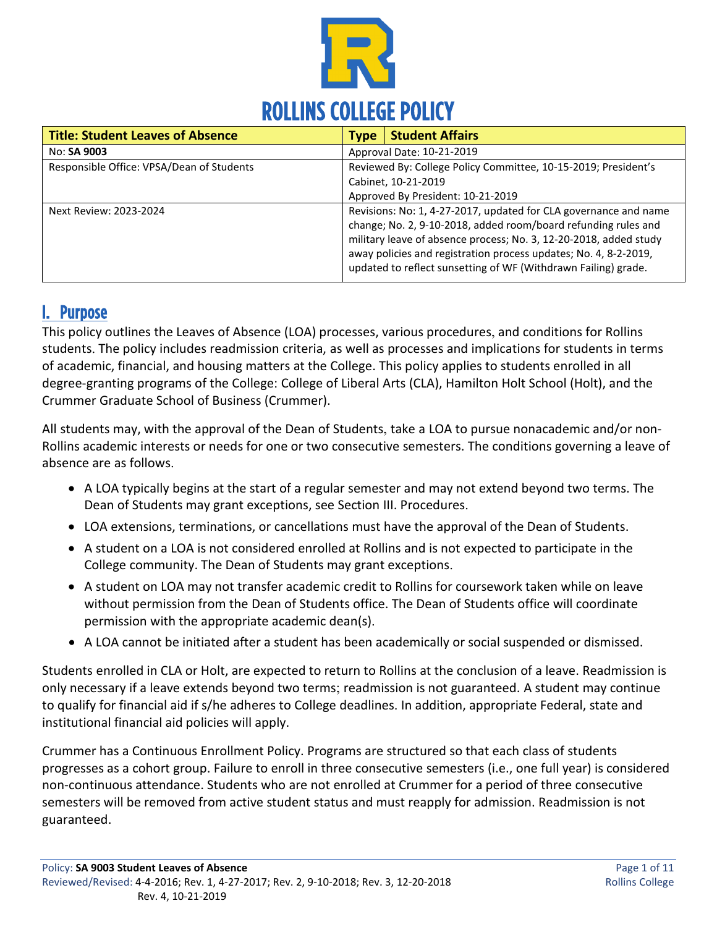

| <b>Title: Student Leaves of Absence</b>   | <b>Type</b>                                                                                                                                                                                                                                                                                                                                   | <b>Student Affairs</b>    |  |
|-------------------------------------------|-----------------------------------------------------------------------------------------------------------------------------------------------------------------------------------------------------------------------------------------------------------------------------------------------------------------------------------------------|---------------------------|--|
| No: SA 9003                               |                                                                                                                                                                                                                                                                                                                                               | Approval Date: 10-21-2019 |  |
| Responsible Office: VPSA/Dean of Students | Reviewed By: College Policy Committee, 10-15-2019; President's<br>Cabinet, 10-21-2019<br>Approved By President: 10-21-2019                                                                                                                                                                                                                    |                           |  |
| Next Review: 2023-2024                    | Revisions: No: 1, 4-27-2017, updated for CLA governance and name<br>change; No. 2, 9-10-2018, added room/board refunding rules and<br>military leave of absence process; No. 3, 12-20-2018, added study<br>away policies and registration process updates; No. 4, 8-2-2019,<br>updated to reflect sunsetting of WF (Withdrawn Failing) grade. |                           |  |

# I. Purpose

This policy outlines the Leaves of Absence (LOA) processes, various procedures, and conditions for Rollins students. The policy includes readmission criteria, as well as processes and implications for students in terms of academic, financial, and housing matters at the College. This policy applies to students enrolled in all degree-granting programs of the College: College of Liberal Arts (CLA), Hamilton Holt School (Holt), and the Crummer Graduate School of Business (Crummer).

All students may, with the approval of the Dean of Students, take a LOA to pursue nonacademic and/or non-Rollins academic interests or needs for one or two consecutive semesters. The conditions governing a leave of absence are as follows.

- A LOA typically begins at the start of a regular semester and may not extend beyond two terms. The Dean of Students may grant exceptions, see Section III. Procedures.
- LOA extensions, terminations, or cancellations must have the approval of the Dean of Students.
- A student on a LOA is not considered enrolled at Rollins and is not expected to participate in the College community. The Dean of Students may grant exceptions.
- A student on LOA may not transfer academic credit to Rollins for coursework taken while on leave without permission from the Dean of Students office. The Dean of Students office will coordinate permission with the appropriate academic dean(s).
- A LOA cannot be initiated after a student has been academically or social suspended or dismissed.

Students enrolled in CLA or Holt, are expected to return to Rollins at the conclusion of a leave. Readmission is only necessary if a leave extends beyond two terms; readmission is not guaranteed. A student may continue to qualify for financial aid if s/he adheres to College deadlines. In addition, appropriate Federal, state and institutional financial aid policies will apply.

Crummer has a Continuous Enrollment Policy. Programs are structured so that each class of students progresses as a cohort group. Failure to enroll in three consecutive semesters (i.e., one full year) is considered non-continuous attendance. Students who are not enrolled at Crummer for a period of three consecutive semesters will be removed from active student status and must reapply for admission. Readmission is not guaranteed.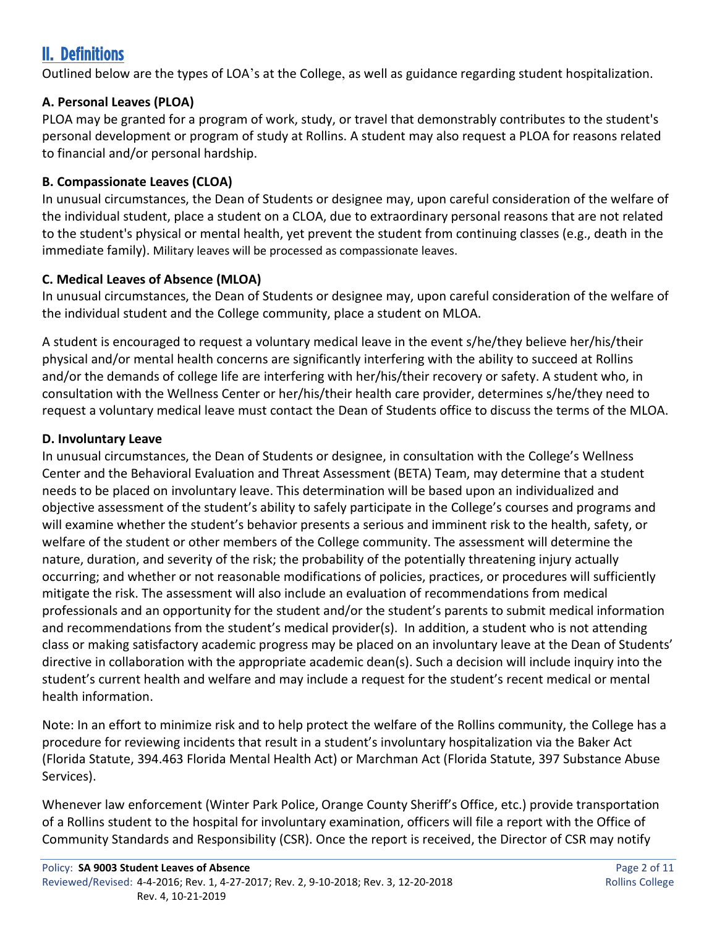# II. Definitions

Outlined below are the types of LOA's at the College, as well as guidance regarding student hospitalization.

## **A. Personal Leaves (PLOA)**

PLOA may be granted for a program of work, study, or travel that demonstrably contributes to the student's personal development or program of study at Rollins. A student may also request a PLOA for reasons related to financial and/or personal hardship.

### **B. Compassionate Leaves (CLOA)**

In unusual circumstances, the Dean of Students or designee may, upon careful consideration of the welfare of the individual student, place a student on a CLOA, due to extraordinary personal reasons that are not related to the student's physical or mental health, yet prevent the student from continuing classes (e.g., death in the immediate family). Military leaves will be processed as compassionate leaves.

### **C. Medical Leaves of Absence (MLOA)**

In unusual circumstances, the Dean of Students or designee may, upon careful consideration of the welfare of the individual student and the College community, place a student on MLOA.

A student is encouraged to request a voluntary medical leave in the event s/he/they believe her/his/their physical and/or mental health concerns are significantly interfering with the ability to succeed at Rollins and/or the demands of college life are interfering with her/his/their recovery or safety. A student who, in consultation with the Wellness Center or her/his/their health care provider, determines s/he/they need to request a voluntary medical leave must contact the Dean of Students office to discuss the terms of the MLOA.

## **D. Involuntary Leave**

In unusual circumstances, the Dean of Students or designee, in consultation with the College's Wellness Center and the Behavioral Evaluation and Threat Assessment (BETA) Team, may determine that a student needs to be placed on involuntary leave. This determination will be based upon an individualized and objective assessment of the student's ability to safely participate in the College's courses and programs and will examine whether the student's behavior presents a serious and imminent risk to the health, safety, or welfare of the student or other members of the College community. The assessment will determine the nature, duration, and severity of the risk; the probability of the potentially threatening injury actually occurring; and whether or not reasonable modifications of policies, practices, or procedures will sufficiently mitigate the risk. The assessment will also include an evaluation of recommendations from medical professionals and an opportunity for the student and/or the student's parents to submit medical information and recommendations from the student's medical provider(s). In addition, a student who is not attending class or making satisfactory academic progress may be placed on an involuntary leave at the Dean of Students' directive in collaboration with the appropriate academic dean(s). Such a decision will include inquiry into the student's current health and welfare and may include a request for the student's recent medical or mental health information.

Note: In an effort to minimize risk and to help protect the welfare of the Rollins community, the College has a procedure for reviewing incidents that result in a student's involuntary hospitalization via the Baker Act (Florida Statute, 394.463 Florida Mental Health Act) or Marchman Act (Florida Statute, 397 Substance Abuse Services).

Whenever law enforcement (Winter Park Police, Orange County Sheriff's Office, etc.) provide transportation of a Rollins student to the hospital for involuntary examination, officers will file a report with the Office of Community Standards and Responsibility (CSR). Once the report is received, the Director of CSR may notify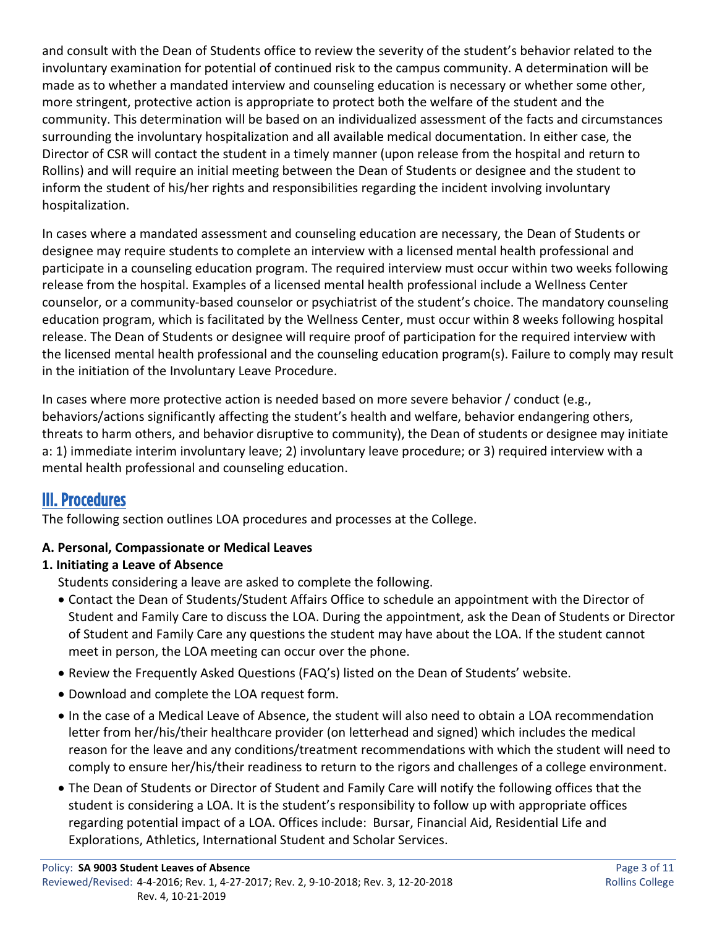and consult with the Dean of Students office to review the severity of the student's behavior related to the involuntary examination for potential of continued risk to the campus community. A determination will be made as to whether a mandated interview and counseling education is necessary or whether some other, more stringent, protective action is appropriate to protect both the welfare of the student and the community. This determination will be based on an individualized assessment of the facts and circumstances surrounding the involuntary hospitalization and all available medical documentation. In either case, the Director of CSR will contact the student in a timely manner (upon release from the hospital and return to Rollins) and will require an initial meeting between the Dean of Students or designee and the student to inform the student of his/her rights and responsibilities regarding the incident involving involuntary hospitalization.

In cases where a mandated assessment and counseling education are necessary, the Dean of Students or designee may require students to complete an interview with a licensed mental health professional and participate in a counseling education program. The required interview must occur within two weeks following release from the hospital. Examples of a licensed mental health professional include a Wellness Center counselor, or a community-based counselor or psychiatrist of the student's choice. The mandatory counseling education program, which is facilitated by the Wellness Center, must occur within 8 weeks following hospital release. The Dean of Students or designee will require proof of participation for the required interview with the licensed mental health professional and the counseling education program(s). Failure to comply may result in the initiation of the Involuntary Leave Procedure.

In cases where more protective action is needed based on more severe behavior / conduct (e.g., behaviors/actions significantly affecting the student's health and welfare, behavior endangering others, threats to harm others, and behavior disruptive to community), the Dean of students or designee may initiate a: 1) immediate interim involuntary leave; 2) involuntary leave procedure; or 3) required interview with a mental health professional and counseling education.

# III. Procedures

The following section outlines LOA procedures and processes at the College.

# **A. Personal, Compassionate or Medical Leaves**

# **1. Initiating a Leave of Absence**

Students considering a leave are asked to complete the following.

- Contact the Dean of Students/Student Affairs Office to schedule an appointment with the Director of Student and Family Care to discuss the LOA. During the appointment, ask the Dean of Students or Director of Student and Family Care any questions the student may have about the LOA. If the student cannot meet in person, the LOA meeting can occur over the phone.
- Review the Frequently Asked Questions (FAQ's) listed on the Dean of Students' website.
- Download and complete the LOA request form.
- In the case of a Medical Leave of Absence, the student will also need to obtain a LOA recommendation letter from her/his/their healthcare provider (on letterhead and signed) which includes the medical reason for the leave and any conditions/treatment recommendations with which the student will need to comply to ensure her/his/their readiness to return to the rigors and challenges of a college environment.
- The Dean of Students or Director of Student and Family Care will notify the following offices that the student is considering a LOA. It is the student's responsibility to follow up with appropriate offices regarding potential impact of a LOA. Offices include: Bursar, Financial Aid, Residential Life and Explorations, Athletics, International Student and Scholar Services.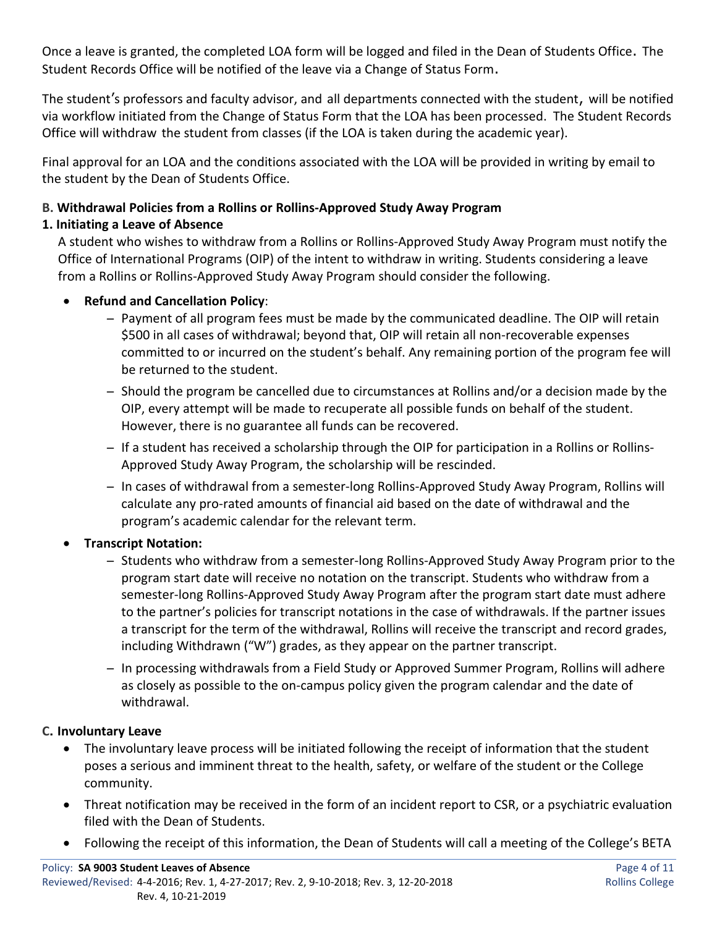Once a leave is granted, the completed LOA form will be logged and filed in the Dean of Students Office. The Student Records Office will be notified of the leave via a Change of Status Form.

The student's professors and faculty advisor, and all departments connected with the student, will be notified via workflow initiated from the Change of Status Form that the LOA has been processed. The Student Records Office will withdraw the student from classes (if the LOA is taken during the academic year).

Final approval for an LOA and the conditions associated with the LOA will be provided in writing by email to the student by the Dean of Students Office.

#### **B. Withdrawal Policies from a Rollins or Rollins-Approved Study Away Program**

#### **1. Initiating a Leave of Absence**

A student who wishes to withdraw from a Rollins or Rollins-Approved Study Away Program must notify the Office of International Programs (OIP) of the intent to withdraw in writing. Students considering a leave from a Rollins or Rollins-Approved Study Away Program should consider the following.

#### • **Refund and Cancellation Policy**:

- ̶ Payment of all program fees must be made by the communicated deadline. The OIP will retain \$500 in all cases of withdrawal; beyond that, OIP will retain all non-recoverable expenses committed to or incurred on the student's behalf. Any remaining portion of the program fee will be returned to the student.
- ̶ Should the program be cancelled due to circumstances at Rollins and/or a decision made by the OIP, every attempt will be made to recuperate all possible funds on behalf of the student. However, there is no guarantee all funds can be recovered.
- ̶ If a student has received a scholarship through the OIP for participation in a Rollins or Rollins-Approved Study Away Program, the scholarship will be rescinded.
- ̶ In cases of withdrawal from a semester-long Rollins-Approved Study Away Program, Rollins will calculate any pro-rated amounts of financial aid based on the date of withdrawal and the program's academic calendar for the relevant term.

#### • **Transcript Notation:**

- ̶ Students who withdraw from a semester-long Rollins-Approved Study Away Program prior to the program start date will receive no notation on the transcript. Students who withdraw from a semester-long Rollins-Approved Study Away Program after the program start date must adhere to the partner's policies for transcript notations in the case of withdrawals. If the partner issues a transcript for the term of the withdrawal, Rollins will receive the transcript and record grades, including Withdrawn ("W") grades, as they appear on the partner transcript.
- ̶ In processing withdrawals from a Field Study or Approved Summer Program, Rollins will adhere as closely as possible to the on-campus policy given the program calendar and the date of withdrawal.

#### **C. Involuntary Leave**

- The involuntary leave process will be initiated following the receipt of information that the student poses a serious and imminent threat to the health, safety, or welfare of the student or the College community.
- Threat notification may be received in the form of an incident report to CSR, or a psychiatric evaluation filed with the Dean of Students.
- Following the receipt of this information, the Dean of Students will call a meeting of the College's BETA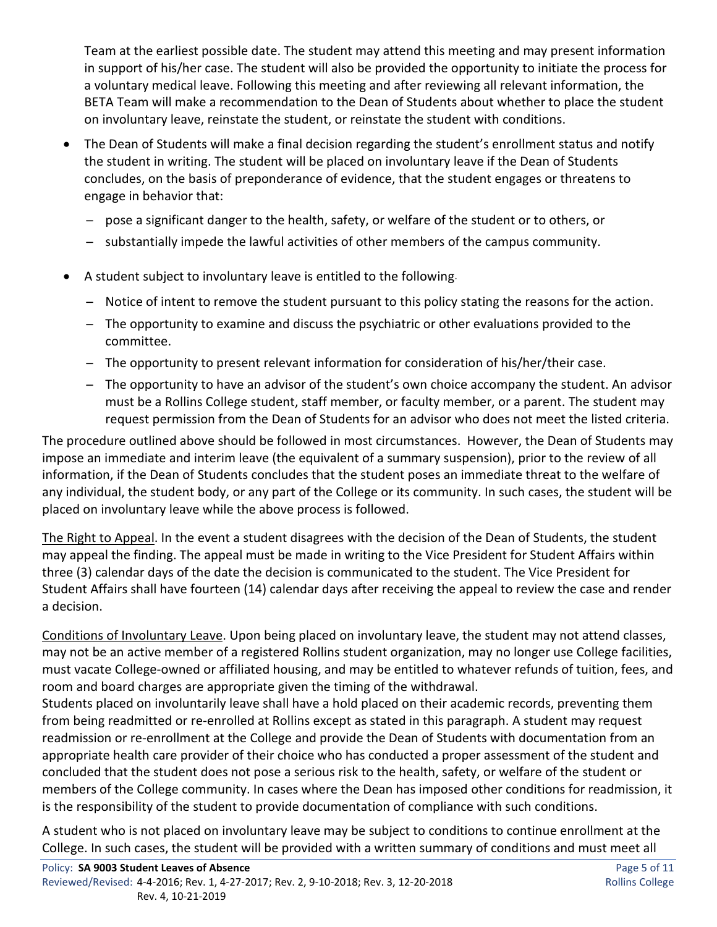Team at the earliest possible date. The student may attend this meeting and may present information in support of his/her case. The student will also be provided the opportunity to initiate the process for a voluntary medical leave. Following this meeting and after reviewing all relevant information, the BETA Team will make a recommendation to the Dean of Students about whether to place the student on involuntary leave, reinstate the student, or reinstate the student with conditions.

- The Dean of Students will make a final decision regarding the student's enrollment status and notify the student in writing. The student will be placed on involuntary leave if the Dean of Students concludes, on the basis of preponderance of evidence, that the student engages or threatens to engage in behavior that:
	- ̶ pose a significant danger to the health, safety, or welfare of the student or to others, or
	- ̶ substantially impede the lawful activities of other members of the campus community.
- A student subject to involuntary leave is entitled to the following.
	- ̶ Notice of intent to remove the student pursuant to this policy stating the reasons for the action.
	- ̶ The opportunity to examine and discuss the psychiatric or other evaluations provided to the committee.
	- ̶ The opportunity to present relevant information for consideration of his/her/their case.
	- ̶ The opportunity to have an advisor of the student's own choice accompany the student. An advisor must be a Rollins College student, staff member, or faculty member, or a parent. The student may request permission from the Dean of Students for an advisor who does not meet the listed criteria.

The procedure outlined above should be followed in most circumstances. However, the Dean of Students may impose an immediate and interim leave (the equivalent of a summary suspension), prior to the review of all information, if the Dean of Students concludes that the student poses an immediate threat to the welfare of any individual, the student body, or any part of the College or its community. In such cases, the student will be placed on involuntary leave while the above process is followed.

The Right to Appeal. In the event a student disagrees with the decision of the Dean of Students, the student may appeal the finding. The appeal must be made in writing to the Vice President for Student Affairs within three (3) calendar days of the date the decision is communicated to the student. The Vice President for Student Affairs shall have fourteen (14) calendar days after receiving the appeal to review the case and render a decision.

Conditions of Involuntary Leave. Upon being placed on involuntary leave, the student may not attend classes, may not be an active member of a registered Rollins student organization, may no longer use College facilities, must vacate College-owned or affiliated housing, and may be entitled to whatever refunds of tuition, fees, and room and board charges are appropriate given the timing of the withdrawal.

Students placed on involuntarily leave shall have a hold placed on their academic records, preventing them from being readmitted or re-enrolled at Rollins except as stated in this paragraph. A student may request readmission or re-enrollment at the College and provide the Dean of Students with documentation from an appropriate health care provider of their choice who has conducted a proper assessment of the student and concluded that the student does not pose a serious risk to the health, safety, or welfare of the student or members of the College community. In cases where the Dean has imposed other conditions for readmission, it is the responsibility of the student to provide documentation of compliance with such conditions.

A student who is not placed on involuntary leave may be subject to conditions to continue enrollment at the College. In such cases, the student will be provided with a written summary of conditions and must meet all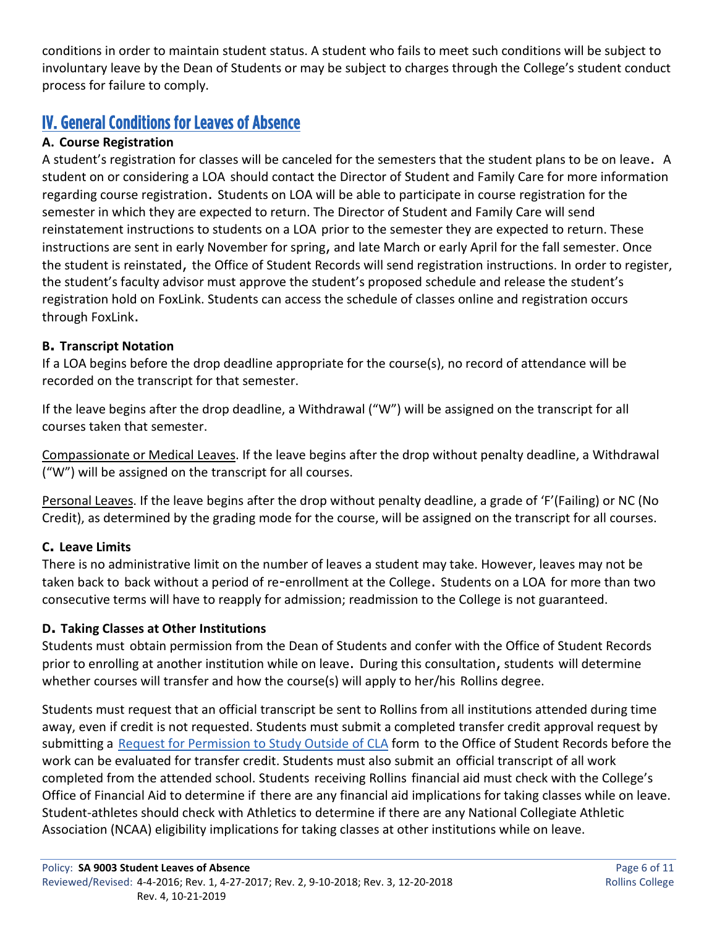conditions in order to maintain student status. A student who fails to meet such conditions will be subject to involuntary leave by the Dean of Students or may be subject to charges through the College's student conduct process for failure to comply.

# IV. General Conditions for Leaves of Absence

### **A. Course Registration**

A student's registration for classes will be canceled for the semesters that the student plans to be on leave. A student on or considering a LOA should contact the Director of Student and Family Care for more information regarding course registration. Students on LOA will be able to participate in course registration for the semester in which they are expected to return. The Director of Student and Family Care will send reinstatement instructions to students on a LOA prior to the semester they are expected to return. These instructions are sent in early November for spring, and late March or early April for the fall semester. Once the student is reinstated, the Office of Student Records will send registration instructions. In order to register, the student's faculty advisor must approve the student's proposed schedule and release the student's registration hold on FoxLink. Students can access the schedule of classes online and registration occurs through FoxLink.

### **B. Transcript Notation**

If a LOA begins before the drop deadline appropriate for the course(s), no record of attendance will be recorded on the transcript for that semester.

If the leave begins after the drop deadline, a Withdrawal ("W") will be assigned on the transcript for all courses taken that semester.

Compassionate or Medical Leaves. If the leave begins after the drop without penalty deadline, a Withdrawal ("W") will be assigned on the transcript for all courses.

Personal Leaves. If the leave begins after the drop without penalty deadline, a grade of 'F'(Failing) or NC (No Credit), as determined by the grading mode for the course, will be assigned on the transcript for all courses.

### **C. Leave Limits**

There is no administrative limit on the number of leaves a student may take. However, leaves may not be taken back to back without a period of re-enrollment at the College. Students on a LOA for more than two consecutive terms will have to reapply for admission; readmission to the College is not guaranteed.

### **D. Taking Classes at Other Institutions**

Students must obtain permission from the Dean of Students and confer with the Office of Student Records prior to enrolling at another institution while on leave. During this consultation, students will determine whether courses will transfer and how the course(s) will apply to her/his Rollins degree.

Students must request that an official transcript be sent to Rollins from all institutions attended during time away, even if credit is not requested. Students must submit a completed transfer credit approval request by submitting a [Request for Permission to Study Outside of CLA](http://www.rollins.edu/international-programs/documents/permission-to-study-outside-interactive.pdf) form to the Office of Student Records before the work can be evaluated for transfer credit. Students must also submit an official transcript of all work completed from the attended school. Students receiving Rollins financial aid must check with the College's Office of Financial Aid to determine if there are any financial aid implications for taking classes while on leave. Student-athletes should check with Athletics to determine if there are any National Collegiate Athletic Association (NCAA) eligibility implications for taking classes at other institutions while on leave.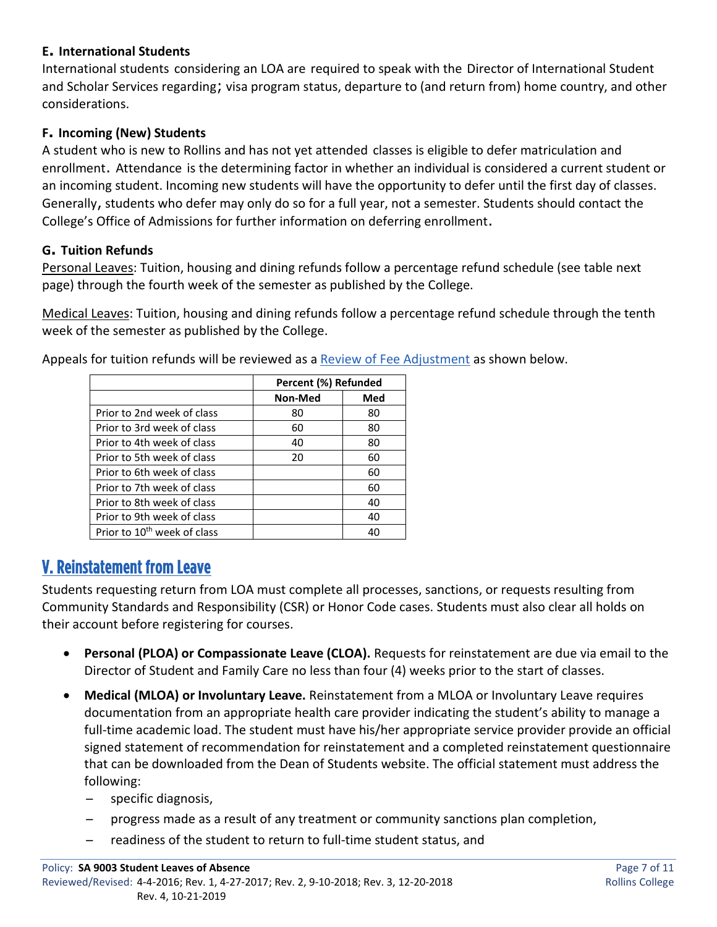#### **E. International Students**

International students considering an LOA are required to speak with the Director of International Student and Scholar Services regarding; visa program status, departure to (and return from) home country, and other considerations.

#### **F. Incoming (New) Students**

A student who is new to Rollins and has not yet attended classes is eligible to defer matriculation and enrollment. Attendance is the determining factor in whether an individual is considered a current student or an incoming student. Incoming new students will have the opportunity to defer until the first day of classes. Generally, students who defer may only do so for a full year, not a semester. Students should contact the College's Office of Admissions for further information on deferring enrollment.

#### **G. Tuition Refunds**

Personal Leaves: Tuition, housing and dining refunds follow a percentage refund schedule (see table next page) through the fourth week of the semester as published by the College.

Medical Leaves: Tuition, housing and dining refunds follow a percentage refund schedule through the tenth week of the semester as published by the College.

Appeals for tuition refunds will be reviewed as [a Review of Fee Adjustment](https://www.rollins.edu/bursar/documents/application-appeal-student-charges-rollins-college.pdf) as shown below.

|                                         | Percent (%) Refunded |     |
|-----------------------------------------|----------------------|-----|
|                                         | Non-Med              | Med |
| Prior to 2nd week of class              | 80                   | 80  |
| Prior to 3rd week of class              | 60                   | 80  |
| Prior to 4th week of class              | 40                   | 80  |
| Prior to 5th week of class              | 20                   | 60  |
| Prior to 6th week of class              |                      | 60  |
| Prior to 7th week of class              |                      | 60  |
| Prior to 8th week of class              |                      | 40  |
| Prior to 9th week of class              |                      | 40  |
| Prior to 10 <sup>th</sup> week of class |                      | 40  |

# V. Reinstatement from Leave

Students requesting return from LOA must complete all processes, sanctions, or requests resulting from Community Standards and Responsibility (CSR) or Honor Code cases. Students must also clear all holds on their account before registering for courses.

- **Personal (PLOA) or Compassionate Leave (CLOA).** Requests for reinstatement are due via email to the Director of Student and Family Care no less than four (4) weeks prior to the start of classes.
- **Medical (MLOA) or Involuntary Leave.** Reinstatement from a MLOA or Involuntary Leave requires documentation from an appropriate health care provider indicating the student's ability to manage a full-time academic load. The student must have his/her appropriate service provider provide an official signed statement of recommendation for reinstatement and a completed reinstatement questionnaire that can be downloaded from the Dean of Students website. The official statement must address the following:
	- ̶ specific diagnosis,
	- ̶ progress made as a result of any treatment or community sanctions plan completion,
	- ̶ readiness of the student to return to full-time student status, and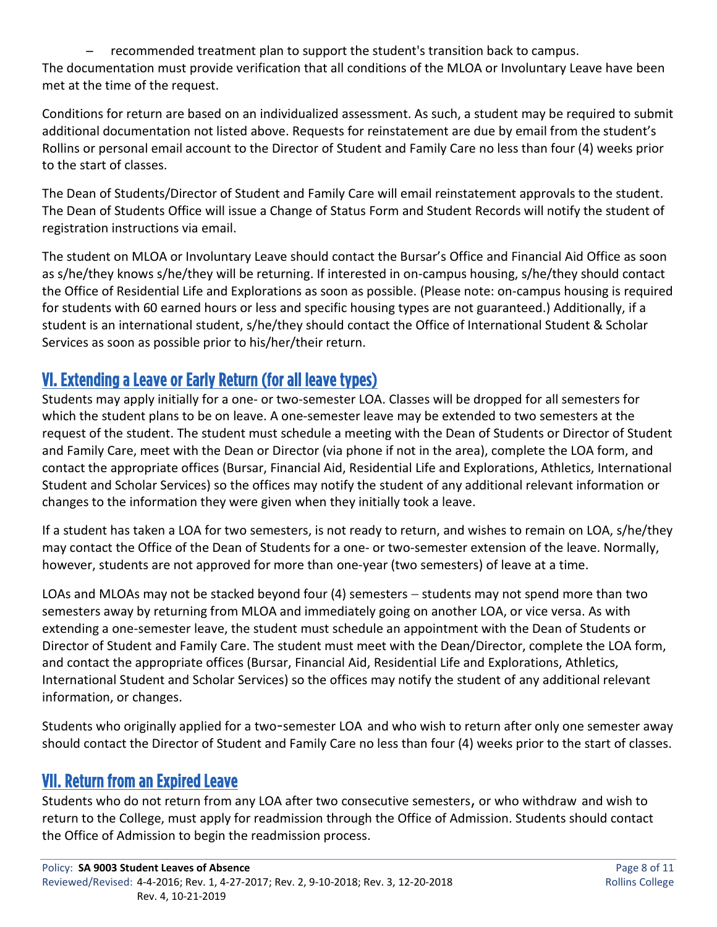̶ recommended treatment plan to support the student's transition back to campus. The documentation must provide verification that all conditions of the MLOA or Involuntary Leave have been met at the time of the request.

Conditions for return are based on an individualized assessment. As such, a student may be required to submit additional documentation not listed above. Requests for reinstatement are due by email from the student's Rollins or personal email account to the Director of Student and Family Care no less than four (4) weeks prior to the start of classes.

The Dean of Students/Director of Student and Family Care will email reinstatement approvals to the student. The Dean of Students Office will issue a Change of Status Form and Student Records will notify the student of registration instructions via email.

The student on MLOA or Involuntary Leave should contact the Bursar's Office and Financial Aid Office as soon as s/he/they knows s/he/they will be returning. If interested in on-campus housing, s/he/they should contact the Office of Residential Life and Explorations as soon as possible. (Please note: on-campus housing is required for students with 60 earned hours or less and specific housing types are not guaranteed.) Additionally, if a student is an international student, s/he/they should contact the Office of International Student & Scholar Services as soon as possible prior to his/her/their return.

# VI. Extending a Leave or Early Return (for all leave types)

Students may apply initially for a one- or two-semester LOA. Classes will be dropped for all semesters for which the student plans to be on leave. A one-semester leave may be extended to two semesters at the request of the student. The student must schedule a meeting with the Dean of Students or Director of Student and Family Care, meet with the Dean or Director (via phone if not in the area), complete the LOA form, and contact the appropriate offices (Bursar, Financial Aid, Residential Life and Explorations, Athletics, International Student and Scholar Services) so the offices may notify the student of any additional relevant information or changes to the information they were given when they initially took a leave.

If a student has taken a LOA for two semesters, is not ready to return, and wishes to remain on LOA, s/he/they may contact the Office of the Dean of Students for a one- or two-semester extension of the leave. Normally, however, students are not approved for more than one-year (two semesters) of leave at a time.

LOAs and MLOAs may not be stacked beyond four (4) semesters − students may not spend more than two semesters away by returning from MLOA and immediately going on another LOA, or vice versa. As with extending a one-semester leave, the student must schedule an appointment with the Dean of Students or Director of Student and Family Care. The student must meet with the Dean/Director, complete the LOA form, and contact the appropriate offices (Bursar, Financial Aid, Residential Life and Explorations, Athletics, International Student and Scholar Services) so the offices may notify the student of any additional relevant information, or changes.

Students who originally applied for a two-semester LOA and who wish to return after only one semester away should contact the Director of Student and Family Care no less than four (4) weeks prior to the start of classes.

# VII. Return from an Expired Leave

Students who do not return from any LOA after two consecutive semesters, or who withdraw and wish to return to the College, must apply for readmission through the Office of Admission. Students should contact the Office of Admission to begin the readmission process.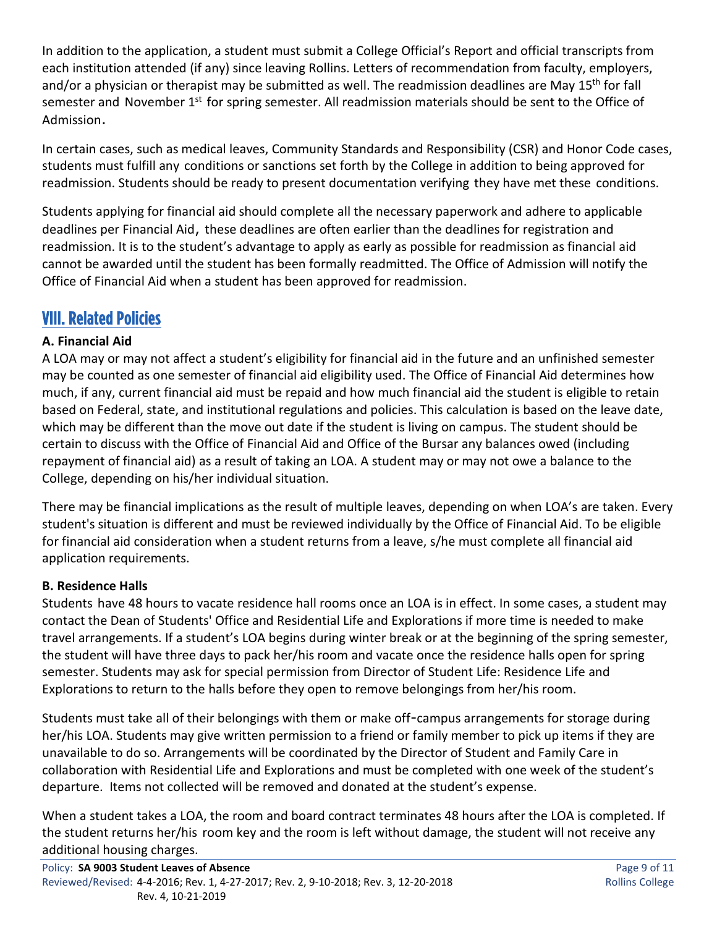In addition to the application, a student must submit a College Official's Report and official transcripts from each institution attended (if any) since leaving Rollins. Letters of recommendation from faculty, employers, and/or a physician or therapist may be submitted as well. The readmission deadlines are May 15<sup>th</sup> for fall semester and November 1<sup>st</sup> for spring semester. All readmission materials should be sent to the Office of Admission.

In certain cases, such as medical leaves, Community Standards and Responsibility (CSR) and Honor Code cases, students must fulfill any conditions or sanctions set forth by the College in addition to being approved for readmission. Students should be ready to present documentation verifying they have met these conditions.

Students applying for financial aid should complete all the necessary paperwork and adhere to applicable deadlines per Financial Aid, these deadlines are often earlier than the deadlines for registration and readmission. It is to the student's advantage to apply as early as possible for readmission as financial aid cannot be awarded until the student has been formally readmitted. The Office of Admission will notify the Office of Financial Aid when a student has been approved for readmission.

# VIII. Related Policies

### **A. Financial Aid**

A LOA may or may not affect a student's eligibility for financial aid in the future and an unfinished semester may be counted as one semester of financial aid eligibility used. The Office of Financial Aid determines how much, if any, current financial aid must be repaid and how much financial aid the student is eligible to retain based on Federal, state, and institutional regulations and policies. This calculation is based on the leave date, which may be different than the move out date if the student is living on campus. The student should be certain to discuss with the Office of Financial Aid and Office of the Bursar any balances owed (including repayment of financial aid) as a result of taking an LOA. A student may or may not owe a balance to the College, depending on his/her individual situation.

There may be financial implications as the result of multiple leaves, depending on when LOA's are taken. Every student's situation is different and must be reviewed individually by the Office of Financial Aid. To be eligible for financial aid consideration when a student returns from a leave, s/he must complete all financial aid application requirements.

### **B. Residence Halls**

Students have 48 hours to vacate residence hall rooms once an LOA is in effect. In some cases, a student may contact the Dean of Students' Office and Residential Life and Explorations if more time is needed to make travel arrangements. If a student's LOA begins during winter break or at the beginning of the spring semester, the student will have three days to pack her/his room and vacate once the residence halls open for spring semester. Students may ask for special permission from Director of Student Life: Residence Life and Explorations to return to the halls before they open to remove belongings from her/his room.

Students must take all of their belongings with them or make off-campus arrangements for storage during her/his LOA. Students may give written permission to a friend or family member to pick up items if they are unavailable to do so. Arrangements will be coordinated by the Director of Student and Family Care in collaboration with Residential Life and Explorations and must be completed with one week of the student's departure. Items not collected will be removed and donated at the student's expense.

When a student takes a LOA, the room and board contract terminates 48 hours after the LOA is completed. If the student returns her/his room key and the room is left without damage, the student will not receive any additional housing charges.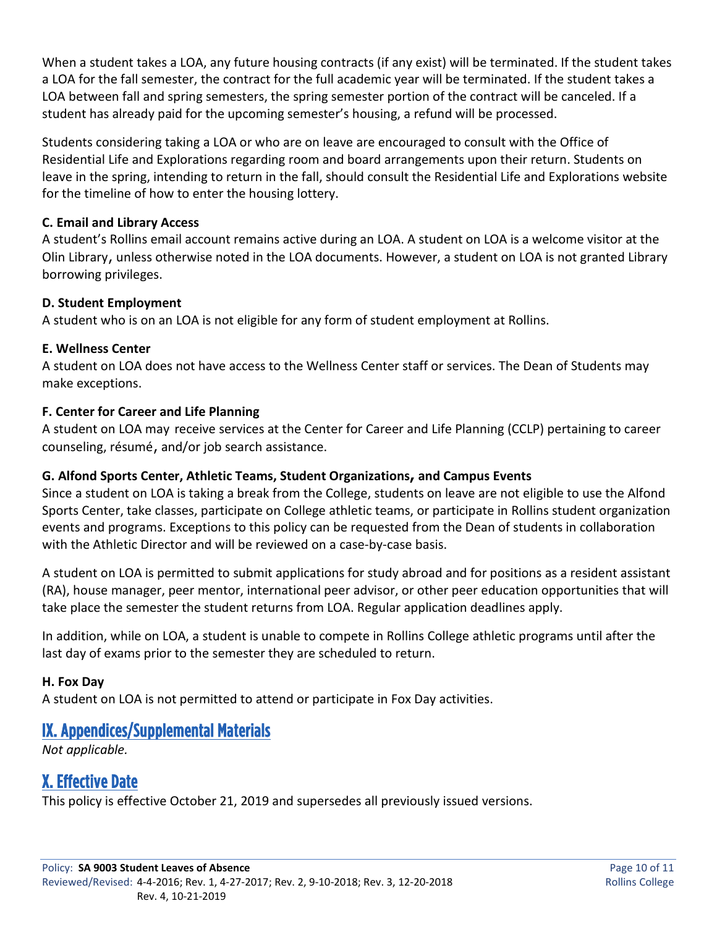When a student takes a LOA, any future housing contracts (if any exist) will be terminated. If the student takes a LOA for the fall semester, the contract for the full academic year will be terminated. If the student takes a LOA between fall and spring semesters, the spring semester portion of the contract will be canceled. If a student has already paid for the upcoming semester's housing, a refund will be processed.

Students considering taking a LOA or who are on leave are encouraged to consult with the Office of Residential Life and Explorations regarding room and board arrangements upon their return. Students on leave in the spring, intending to return in the fall, should consult the Residential Life and Explorations website for the timeline of how to enter the housing lottery.

#### **C. Email and Library Access**

A student's Rollins email account remains active during an LOA. A student on LOA is a welcome visitor at the Olin Library, unless otherwise noted in the LOA documents. However, a student on LOA is not granted Library borrowing privileges.

#### **D. Student Employment**

A student who is on an LOA is not eligible for any form of student employment at Rollins.

#### **E. Wellness Center**

A student on LOA does not have access to the Wellness Center staff or services. The Dean of Students may make exceptions.

#### **F. Center for Career and Life Planning**

A student on LOA may receive services at the Center for Career and Life Planning (CCLP) pertaining to career counseling, résumé, and/or job search assistance.

### **G. Alfond Sports Center, Athletic Teams, Student Organizations, and Campus Events**

Since a student on LOA is taking a break from the College, students on leave are not eligible to use the Alfond Sports Center, take classes, participate on College athletic teams, or participate in Rollins student organization events and programs. Exceptions to this policy can be requested from the Dean of students in collaboration with the Athletic Director and will be reviewed on a case-by-case basis.

A student on LOA is permitted to submit applications for study abroad and for positions as a resident assistant (RA), house manager, peer mentor, international peer advisor, or other peer education opportunities that will take place the semester the student returns from LOA. Regular application deadlines apply.

In addition, while on LOA, a student is unable to compete in Rollins College athletic programs until after the last day of exams prior to the semester they are scheduled to return.

### **H. Fox Day**

A student on LOA is not permitted to attend or participate in Fox Day activities.

# IX. Appendices/Supplemental Materials

*Not applicable.*

# X. Effective Date

This policy is effective October 21, 2019 and supersedes all previously issued versions.